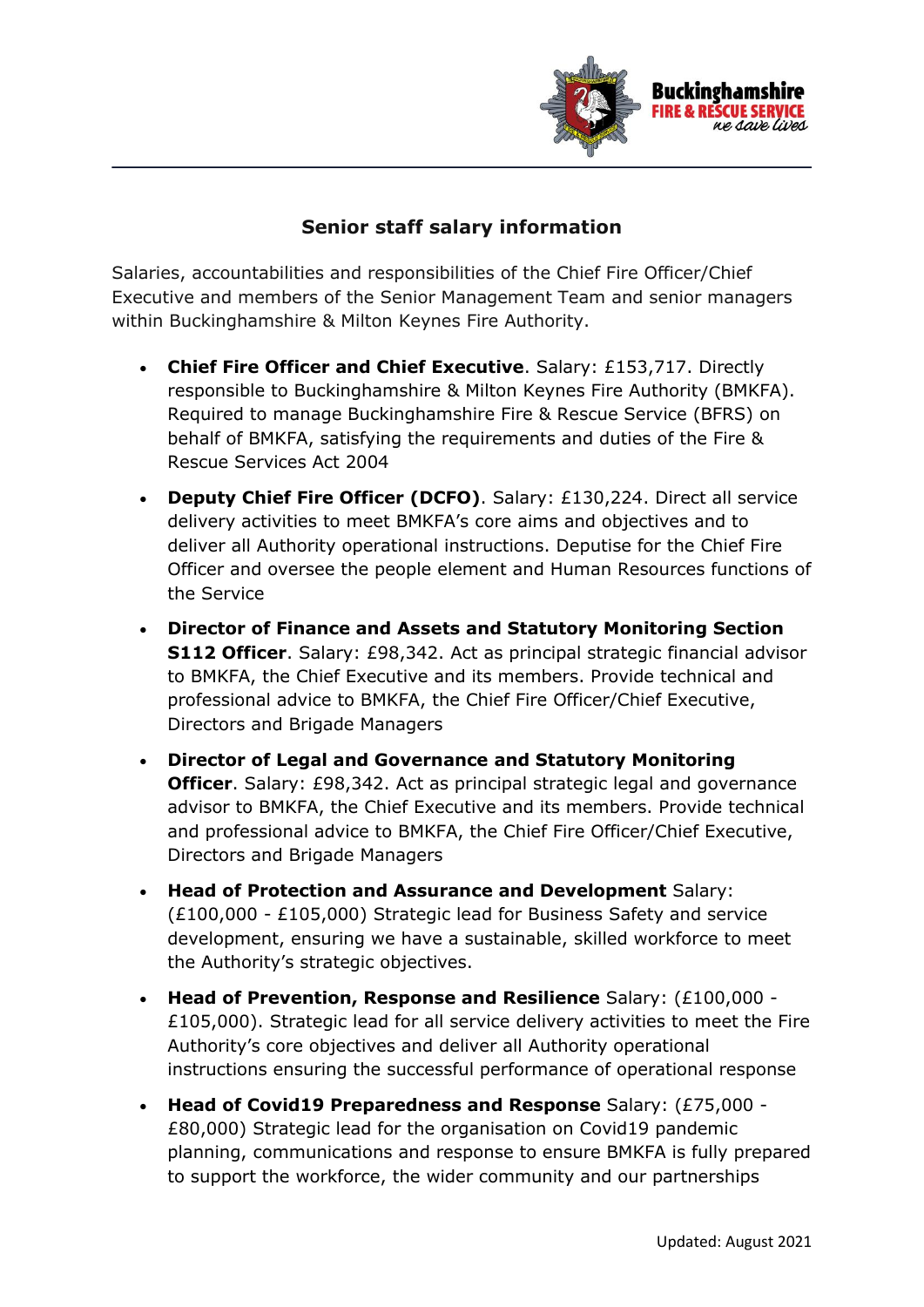

## **Senior staff salary information**

Salaries, accountabilities and responsibilities of the Chief Fire Officer/Chief Executive and members of the Senior Management Team and senior managers within Buckinghamshire & Milton Keynes Fire Authority.

- **Chief Fire Officer and Chief Executive**. Salary: £153,717. Directly responsible to Buckinghamshire & Milton Keynes Fire Authority (BMKFA). Required to manage Buckinghamshire Fire & Rescue Service (BFRS) on behalf of BMKFA, satisfying the requirements and duties of the Fire & Rescue Services Act 2004
- **Deputy Chief Fire Officer (DCFO)**. Salary: £130,224. Direct all service delivery activities to meet BMKFA's core aims and objectives and to deliver all Authority operational instructions. Deputise for the Chief Fire Officer and oversee the people element and Human Resources functions of the Service
- **Director of Finance and Assets and Statutory Monitoring Section S112 Officer**. Salary: £98,342. Act as principal strategic financial advisor to BMKFA, the Chief Executive and its members. Provide technical and professional advice to BMKFA, the Chief Fire Officer/Chief Executive, Directors and Brigade Managers
- **Director of Legal and Governance and Statutory Monitoring Officer.** Salary: £98,342. Act as principal strategic legal and governance advisor to BMKFA, the Chief Executive and its members. Provide technical and professional advice to BMKFA, the Chief Fire Officer/Chief Executive, Directors and Brigade Managers
- **Head of Protection and Assurance and Development** Salary: (£100,000 - £105,000) Strategic lead for Business Safety and service development, ensuring we have a sustainable, skilled workforce to meet the Authority's strategic objectives.
- **Head of Prevention, Response and Resilience** Salary: (£100,000 £105,000). Strategic lead for all service delivery activities to meet the Fire Authority's core objectives and deliver all Authority operational instructions ensuring the successful performance of operational response
- **Head of Covid19 Preparedness and Response** Salary: (£75,000 £80,000) Strategic lead for the organisation on Covid19 pandemic planning, communications and response to ensure BMKFA is fully prepared to support the workforce, the wider community and our partnerships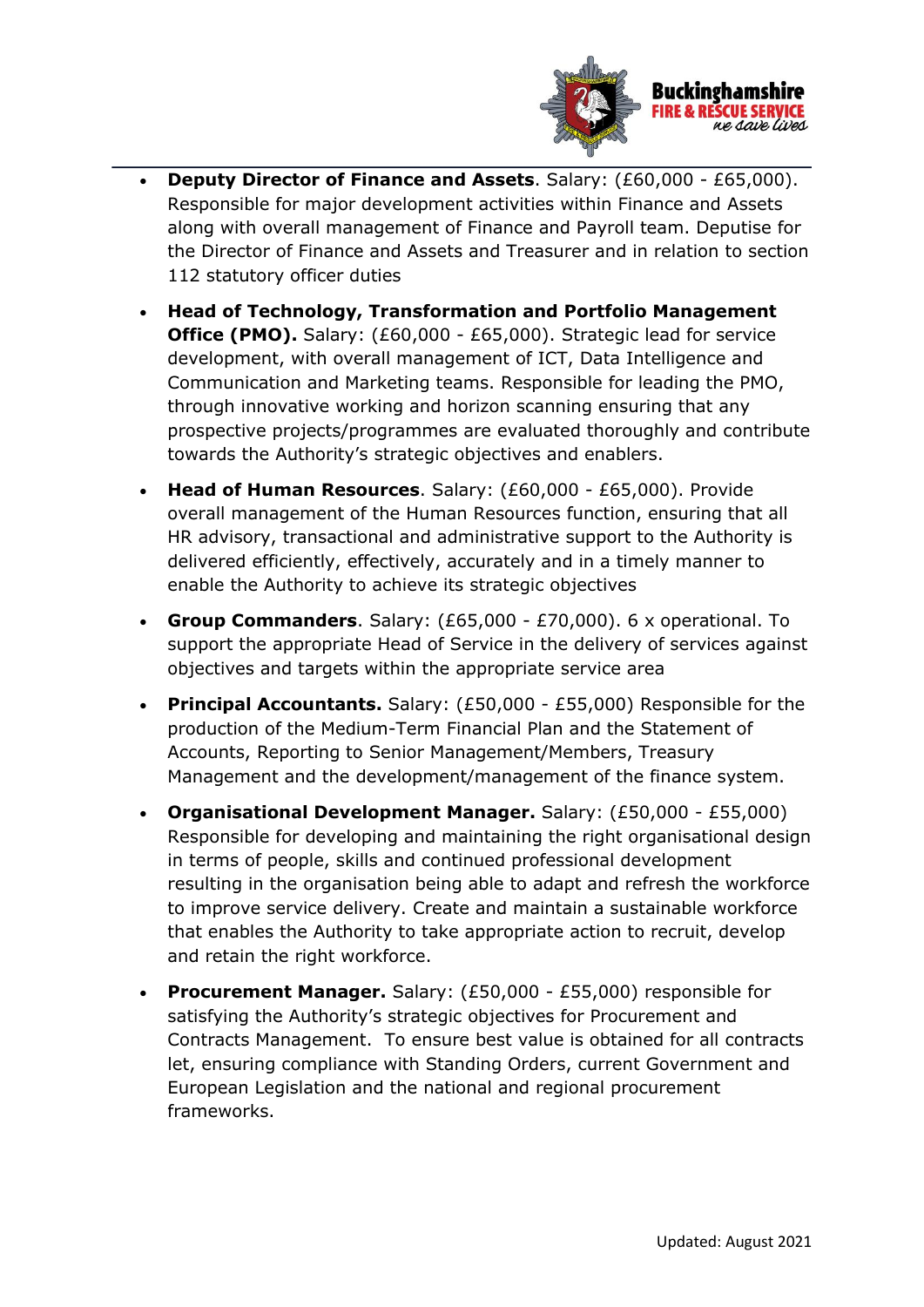

- **Deputy Director of Finance and Assets**. Salary: (£60,000 £65,000). Responsible for major development activities within Finance and Assets along with overall management of Finance and Payroll team. Deputise for the Director of Finance and Assets and Treasurer and in relation to section 112 statutory officer duties
- **Head of Technology, Transformation and Portfolio Management Office (PMO).** Salary: (£60,000 - £65,000). Strategic lead for service development, with overall management of ICT, Data Intelligence and Communication and Marketing teams. Responsible for leading the PMO, through innovative working and horizon scanning ensuring that any prospective projects/programmes are evaluated thoroughly and contribute towards the Authority's strategic objectives and enablers.
- **Head of Human Resources**. Salary: (£60,000 £65,000). Provide overall management of the Human Resources function, ensuring that all HR advisory, transactional and administrative support to the Authority is delivered efficiently, effectively, accurately and in a timely manner to enable the Authority to achieve its strategic objectives
- **Group Commanders**. Salary: (£65,000 £70,000). 6 x operational. To support the appropriate Head of Service in the delivery of services against objectives and targets within the appropriate service area
- **Principal Accountants.** Salary: (£50,000 £55,000) Responsible for the production of the Medium-Term Financial Plan and the Statement of Accounts, Reporting to Senior Management/Members, Treasury Management and the development/management of the finance system.
- **Organisational Development Manager.** Salary: (£50,000 £55,000) Responsible for developing and maintaining the right organisational design in terms of people, skills and continued professional development resulting in the organisation being able to adapt and refresh the workforce to improve service delivery. Create and maintain a sustainable workforce that enables the Authority to take appropriate action to recruit, develop and retain the right workforce.
- **Procurement Manager.** Salary: (£50,000 £55,000) responsible for satisfying the Authority's strategic objectives for Procurement and Contracts Management. To ensure best value is obtained for all contracts let, ensuring compliance with Standing Orders, current Government and European Legislation and the national and regional procurement frameworks.